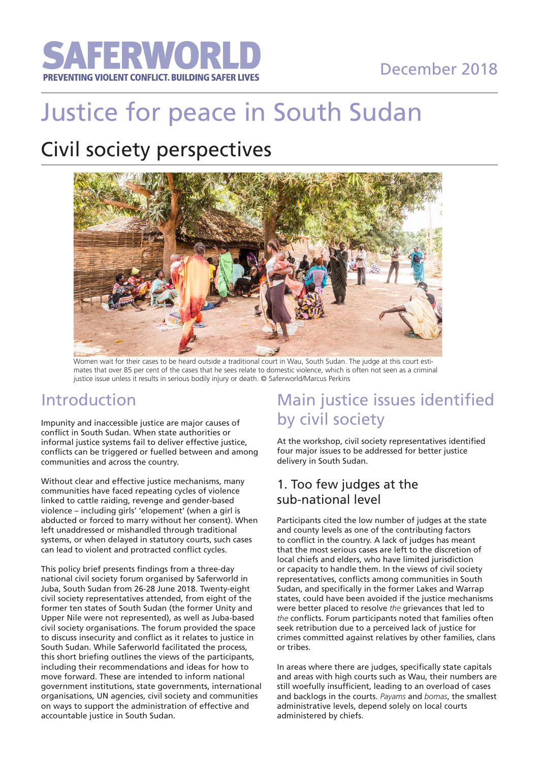

# December 2018

# Justice for peace in South Sudan

# Civil society perspectives



Women wait for their cases to be heard outside a traditional court in Wau, South Sudan. The judge at this court estimates that over 85 per cent of the cases that he sees relate to domestic violence, which is often not seen as a criminal justice issue unless it results in serious bodily injury or death. © Saferworld/Marcus Perkins

## Introduction

Impunity and inaccessible justice are major causes of conflict in South Sudan. When state authorities or informal justice systems fail to deliver effective justice, conflicts can be triggered or fuelled between and among communities and across the country.

Without clear and effective justice mechanisms, many communities have faced repeating cycles of violence linked to cattle raiding, revenge and gender-based violence – including girls' 'elopement' (when a girl is abducted or forced to marry without her consent). When left unaddressed or mishandled through traditional systems, or when delayed in statutory courts, such cases can lead to violent and protracted conflict cycles.

This policy brief presents findings from a three-day national civil society forum organised by Saferworld in Juba, South Sudan from 26-28 June 2018. Twenty-eight civil society representatives attended, from eight of the former ten states of South Sudan (the former Unity and Upper Nile were not represented), as well as Juba-based civil society organisations. The forum provided the space to discuss insecurity and conflict as it relates to justice in South Sudan. While Saferworld facilitated the process, this short briefing outlines the views of the participants, including their recommendations and ideas for how to move forward. These are intended to inform national government institutions, state governments, international organisations, UN agencies, civil society and communities on ways to support the administration of effective and accountable justice in South Sudan.

# Main justice issues identified by civil society

At the workshop, civil society representatives identified four major issues to be addressed for better justice delivery in South Sudan.

### 1. Too few judges at the sub-national level

Participants cited the low number of judges at the state and county levels as one of the contributing factors to conflict in the country. A lack of judges has meant that the most serious cases are left to the discretion of local chiefs and elders, who have limited jurisdiction or capacity to handle them. In the views of civil society representatives, conflicts among communities in South Sudan, and specifically in the former Lakes and Warrap states, could have been avoided if the justice mechanisms were better placed to resolve *the* grievances that led to *the* conflicts. Forum participants noted that families often seek retribution due to a perceived lack of justice for crimes committed against relatives by other families, clans or tribes.

In areas where there are judges, specifically state capitals and areas with high courts such as Wau, their numbers are still woefully insufficient, leading to an overload of cases and backlogs in the courts. *Payams* and *bomas*, the smallest administrative levels, depend solely on local courts administered by chiefs.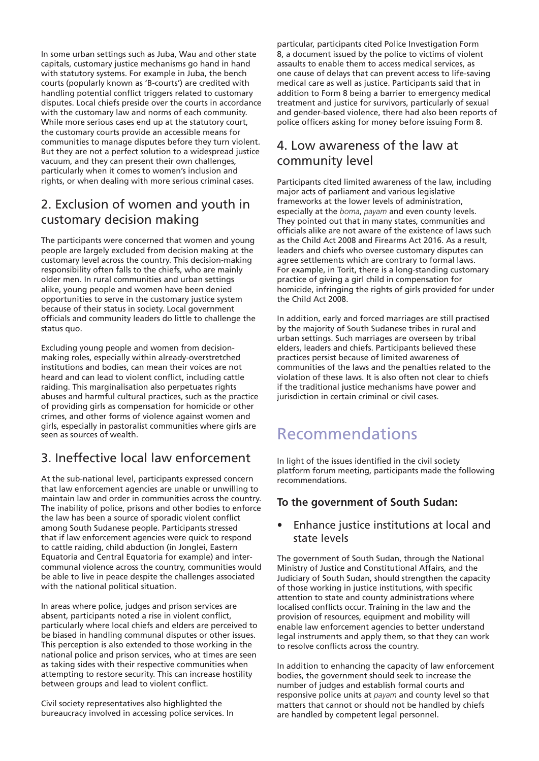In some urban settings such as Juba, Wau and other state capitals, customary justice mechanisms go hand in hand with statutory systems. For example in Juba, the bench courts (popularly known as 'B-courts') are credited with handling potential conflict triggers related to customary disputes. Local chiefs preside over the courts in accordance with the customary law and norms of each community. While more serious cases end up at the statutory court, the customary courts provide an accessible means for communities to manage disputes before they turn violent. But they are not a perfect solution to a widespread justice vacuum, and they can present their own challenges, particularly when it comes to women's inclusion and rights, or when dealing with more serious criminal cases.

### 2. Exclusion of women and youth in customary decision making

The participants were concerned that women and young people are largely excluded from decision making at the customary level across the country. This decision-making responsibility often falls to the chiefs, who are mainly older men. In rural communities and urban settings alike, young people and women have been denied opportunities to serve in the customary justice system because of their status in society. Local government officials and community leaders do little to challenge the status quo.

seen as sources of wealth. Excluding young people and women from decisionmaking roles, especially within already-overstretched institutions and bodies, can mean their voices are not heard and can lead to violent conflict, including cattle raiding. This marginalisation also perpetuates rights abuses and harmful cultural practices, such as the practice of providing girls as compensation for homicide or other crimes, and other forms of violence against women and girls, especially in pastoralist communities where girls are

### 3. Ineffective local law enforcement

At the sub-national level, participants expressed concern that law enforcement agencies are unable or unwilling to maintain law and order in communities across the country. The inability of police, prisons and other bodies to enforce the law has been a source of sporadic violent conflict among South Sudanese people. Participants stressed that if law enforcement agencies were quick to respond to cattle raiding, child abduction (in Jonglei, Eastern Equatoria and Central Equatoria for example) and intercommunal violence across the country, communities would be able to live in peace despite the challenges associated with the national political situation.

In areas where police, judges and prison services are absent, participants noted a rise in violent conflict, particularly where local chiefs and elders are perceived to be biased in handling communal disputes or other issues. This perception is also extended to those working in the national police and prison services, who at times are seen as taking sides with their respective communities when attempting to restore security. This can increase hostility between groups and lead to violent conflict.

Civil society representatives also highlighted the bureaucracy involved in accessing police services. In particular, participants cited Police Investigation Form 8, a document issued by the police to victims of violent assaults to enable them to access medical services, as one cause of delays that can prevent access to life-saving medical care as well as justice. Participants said that in addition to Form 8 being a barrier to emergency medical treatment and justice for survivors, particularly of sexual and gender-based violence, there had also been reports of police officers asking for money before issuing Form 8.

### 4. Low awareness of the law at community level

Participants cited limited awareness of the law, including major acts of parliament and various legislative frameworks at the lower levels of administration, especially at the *boma*, *payam* and even county levels. They pointed out that in many states, communities and officials alike are not aware of the existence of laws such as the Child Act 2008 and Firearms Act 2016. As a result, leaders and chiefs who oversee customary disputes can agree settlements which are contrary to formal laws. For example, in Torit, there is a long-standing customary practice of giving a girl child in compensation for homicide, infringing the rights of girls provided for under the Child Act 2008.

In addition, early and forced marriages are still practised by the majority of South Sudanese tribes in rural and urban settings. Such marriages are overseen by tribal elders, leaders and chiefs. Participants believed these practices persist because of limited awareness of communities of the laws and the penalties related to the violation of these laws. It is also often not clear to chiefs if the traditional justice mechanisms have power and jurisdiction in certain criminal or civil cases.

# Recommendations

In light of the issues identified in the civil society platform forum meeting, participants made the following recommendations.

### **To the government of South Sudan:**

• Enhance justice institutions at local and state levels

The government of South Sudan, through the National Ministry of Justice and Constitutional Affairs, and the Judiciary of South Sudan, should strengthen the capacity of those working in justice institutions, with specific attention to state and county administrations where localised conflicts occur. Training in the law and the provision of resources, equipment and mobility will enable law enforcement agencies to better understand legal instruments and apply them, so that they can work to resolve conflicts across the country.

In addition to enhancing the capacity of law enforcement bodies, the government should seek to increase the number of judges and establish formal courts and responsive police units at *payam* and county level so that matters that cannot or should not be handled by chiefs are handled by competent legal personnel.